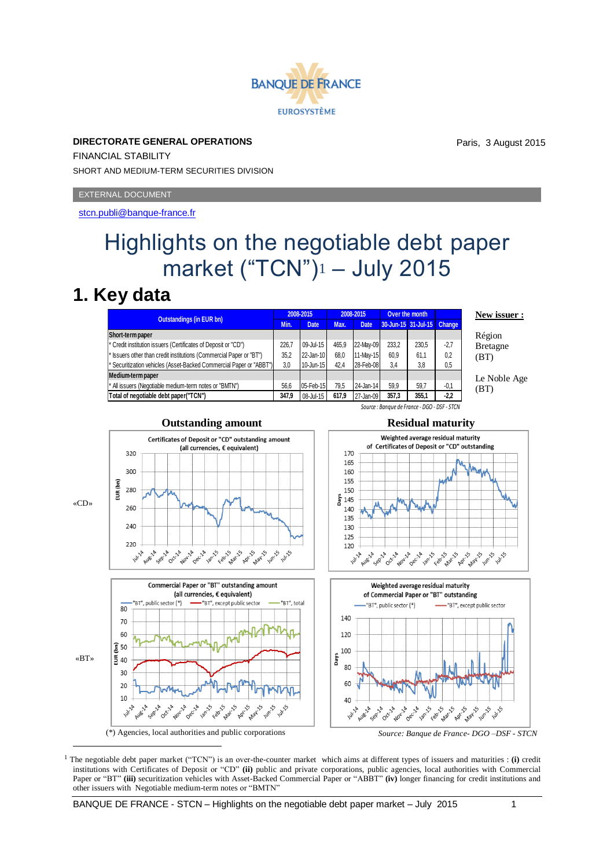# **BANOUE DE FRANCE EUROSYSTÈME**

**DIRECTORATE GENERAL OPERATIONS** FINANCIAL STABILITY SHORT AND MEDIUM-TERM SECURITIES DIVISION

EXTERNAL DOCUMENT

<stcn.publi@banque-france.fr>

# Highlights on the negotiable debt paper market ("TCN")<sup>1</sup> – July 2015

### **1. Key data**

| <b>Outstandings (in EUR bn)</b>                                                | 2008-2015 |           | 2008-2015 |             | Over the month |                            |        | New issuer :    |
|--------------------------------------------------------------------------------|-----------|-----------|-----------|-------------|----------------|----------------------------|--------|-----------------|
|                                                                                | Min.      | Date.     | Max.      | <b>Date</b> |                | 30-Jun-15 31-Jul-15 Change |        |                 |
| Short-term paper                                                               |           |           |           |             |                |                            |        | Région          |
| <sup>*</sup> Credit institution issuers (Certificates of Deposit or "CD")      | 226.7     | 09-Jul-15 | 465.9     | 22-May-09   | 233.2          | 230.5                      | $-2.7$ | <b>Bretagne</b> |
| * Issuers other than credit institutions (Commercial Paper or "BT")            | 35.2      | 22-Jan-10 | 68.0      | 11-May-15   | 60.9           | 61,1                       | 0.2    | (BT)            |
| <sup>*</sup> Securitization vehicles (Asset-Backed Commercial Paper or "ABBT") | 3.0       | 10-Jun-15 | 42.4      | 28-Feb-08   | 3.4            | 3,8                        | 0,5    |                 |
| Medium-term paper                                                              |           |           |           |             |                |                            |        | Le Noble Age    |
| * All issuers (Negotiable medium-term notes or "BMTN")                         | 56.6      | 05-Feb-15 | 79.5      | 24-Jan-14   | 59.9           | 59,7                       | $-0,1$ | (BT)            |
| Total of negotiable debt paper("TCN")                                          | 347.9     | 08-Jul-15 | 617.9     | 27-Jan-09   | 357.3          | 355,1                      | $-2.2$ |                 |



<sup>1</sup> The negotiable debt paper market ("TCN") is an over-the-counter market which aims at different types of issuers and maturities : (i) credit institutions with Certificates of Deposit or "CD" **(ii)** public and private corporations, public agencies, local authorities with Commercial Paper or "BT" (iii) securitization vehicles with Asset-Backed Commercial Paper or "ABBT" (iv) longer financing for credit institutions and other issuers with Negotiable medium-term notes or "BMTN"

BANQUE DE FRANCE - STCN – Highlights on the negotiable debt paper market – July 2015 1

#### **Outstanding amount Residual maturity**

*Source : Banque de France - DGO - DSF - STCN*

Paris, 3 August 2015